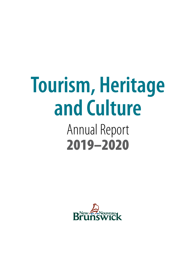# **Tourism, Heritage and Culture**

# Annual Report 2019–2020

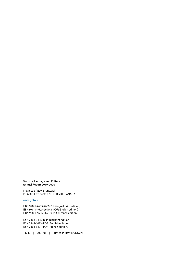#### **Tourism, Heritage and Culture Annual Report 2019-2020**

Province of New Brunswick PO 6000, Fredericton NB E3B 5H1 CANADA

www.gnb.ca

ISBN 978-1-4605-2689-7 (bilingual print edition) ISBN 978-1-4605-2690-3 (PDF: English edition) ISBN 978-1-4605-2691-0 (PDF: French edition)

ISSN 2368-6405 (bilingual print edition) ISSN 2368-6413 (PDF : English edition) ISSN 2368-6421 (PDF : French edition)

13046 | 2021.01 | Printed in New Brunswick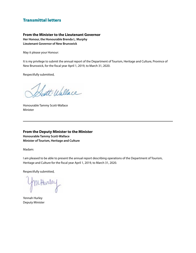### Transmittal letters

#### **From the Minister to the Lieutenant Governor**

**Her Honour, the Honourable Brenda L. Murphy Lieutenant Governor of New Brunswick**

May it please your Honour:

It is my privilege to submit the annual report of the Department of Tourism, Heritage and Culture, Province of New Brunswick, for the fiscal year April 1, 2019, to March 31, 2020.

Respectfully submitted,

att-Wallace

Honourable Tammy Scott-Wallace Minister

**From the Deputy Minister to the Minister Honourable Tammy Scott-Wallace Minister of Tourism, Heritage and Culture**

Madam:

I am pleased to be able to present the annual report describing operations of the Department of Tourism, Heritage and Culture for the fiscal year April 1, 2019, to March 31, 2020.

Respectfully submitted,

rHurler

Yennah Hurley Deputy Minister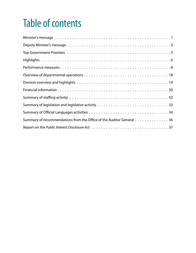# Table of contents

| Summary of recommendations from the Office of the Auditor General 36 |
|----------------------------------------------------------------------|
|                                                                      |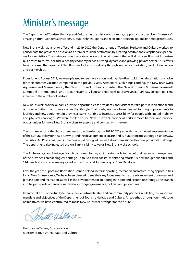# <span id="page-4-0"></span>Minister's message

The Department of Tourism, Heritage and Culture has the mission to promote, support and protect New Brunswick's amazing natural wonders, attractions, cultural richness, sports and recreation accessibility, and its heritage treasures.

New Brunswick had a lot to offer and in 2019-2020 the Department of Tourism, Heritage and Culture worked to consolidate the province's position as a premier tourism destination by creating positive and exceptional experiences for our visitors. The main goal was to create an economic environment that will allow New Brunswick tourism businesses to thrive, because a healthy economy needs a strong, dynamic and growing private sector. Our efforts have increased the capacity of New Brunswick's tourism industry through innovative marketing, product innovation and partnerships.

From June to August 2019, we were pleased to see more visitors making New Brunswick their destination of choice for their summer vacation compared to the previous year. Attractions such Kings Landing, the New Brunswick Aquarium and Marine Center, the New Brunswick Botanical Garden, the New Brunswick Museum, Roosevelt Campobello International Park, Acadian Historical Village and Hopewell Rocks Provincial Park saw an eight per cent increase in the number of visitors.

New Brunswick provincial parks provide opportunities for residents and visitors to take part in recreational and outdoor activities that promote a healthy lifestyle. That is why we have been pleased to bring improvements to facilities and new equipment in provincial parks, notably to increase accessibility for people with limited mobility and physical challenges. We were thrilled to see New Brunswick provincial parks remove barriers and provide opportunities for more New Brunswickers to exercise and connect with nature.

The culture sector of the department was also active during the 2019-2020 year with the continued implementation of the Cultural Policy for New Brunswick and the development of an arts and cultural industries strategy is underway. The Public Art Policy has been implemented, allowing art pieces to be commissioned for new provincial buildings. The department also increased the Art Bank visibility towards New Brunswick's schools.

The Archaeology and Heritage Branch continued to play an important role in the cultural resource management of the province's archaeological heritage. Thanks to their coastal monitoring efforts, 89 new Indigenous sites and 114 new historic sites were registered in the Provincial Archaeological Sites Database.

Over the year, the Sport and Recreation Branch helped increase sporting, recreation and active living opportunities for all New Brunswickers. We have been pleased to see their key focus areas to be the advancement of women and girls in sport and recreation, as well as the development of an Aboriginal Sport and Recreation strategy. The branch also helped sports organizations develop stronger governance, policies and procedures.

I want to take this opportunity to thank the departmental staff and our community partners in fulfilling the important mandate and objectives of the Department of Tourism, Heritage and Culture. All together, through our multitude of initiatives, we have contributed to make New Brunswick stronger for the future.

ett-Wallace

Honourable Tammy Scott-Wallace Minister of Tourism, Heritage and Culture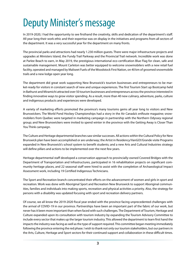# <span id="page-5-0"></span>Deputy Minister's message

In 2019-2020, I had the opportunity to see firsthand the creativity, skills and dedication of the department's staff. All year long their work ethic and their expertise was on display in the initiatives and programs from all sectors of the department. It was a very successful year for the department on many fronts.

The provincial parks and attractions had nearly 1.230 million guests. There were major infrastructure projects and upgrades at Ministers Island, the Fundy Trail Parkway and the Provincial Trail network. Incredible work was done at Parlee Beach to earn, in May 2019, the prestigious international eco-certification Blue Flag for clean, safe and sustainable management. Mount Carleton was better equipped to welcome snowmobilers with a new retail fuel facility, operated and managed by Maliseet Fuels of the Woodstock First Nation, on 40 km of groomed snowmobile trails and a new lodge open year long.

The department did great work supporting New Brunswick's tourism businesses and entrepreneurs to be market-ready for visitors in constant search of new and unique experiences. The first Tourism Start up Bootcamp held in Bathurst and Miramichi attracted over 50 tourism businesses and entrepreneurs across the province interested in finding innovative ways to grow visitor spending. As a result, more than 40 new culinary, adventure, parks, culture and indigenous products and experiences were developed.

A variety of marketing efforts promoted the province's many tourisms gems all year long to visitors and New Brunswickers. The World Pond Hockey Championships had a story in the Air Canada's enRoute magazine; snowmobilers from Quebec were targeted in marketing campaign in partnership with the Northern Odyssey regional group; and New Brunswickers were invited to spend winter in the province with the Getting Away is Closer Than You Think campaign.

The Culture and Heritage departmental branches saw similar successes. All actions within the Cultural Policy for New Brunswick plan have been accomplished or are underway; the Artist in Residency/VanGO!/Grande visite Programs expanded in New Brunswick's school system to benefit students; and a new Arts and Cultural Industries strategy will define pillars and actions to be implemented over the next few years.

Heritage departmental staff developed a conservation approach to provincially-owned Covered Bridges with the Department of Transportation and Infrastructures, participated in 16 rehabilitation projects on significant community heritage places, and 22 seasonal staff were hired to assist with the completion of Archaeological Impact Assessment work, including 19 Certified Indigenous Technicians.

The Sport and Recreation branch concentrated their efforts on the advancement of women and girls in sport and recreation. Work was done with Aboriginal Sport and Recreation New Brunswick to support Aboriginal communities, families and individuals into making sports, recreation and physical activities a priority. Also, the strategy for persons with a disability was updated focusing with sport and recreation delivery partners.

Of course, we all know the 2019-2020 fiscal year ended with the province facing unprecedented challenges with the arrival of COVID-19 in our province. Partnerships have been an important part of the fabric of our work, but never has it been more important than when faced with such challenges. The Department of Tourism, Heritage and Culture expanded upon its consultation with tourism industry by expanding the Tourism Advisory Committee to include every sector that makes up the larger tourism industry. This allowed the department to learn first hand the impacts the industry was facing as well as the type of support required. This committee began meeting immediately following the province entering the red phase. I wish to thank not only our tourism stakeholders, but our partners in the Arts, Culture, Heritage and Sport sectors for their continued support and collaboration in these difficult times.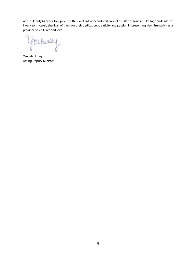As the Deputy Minister, I am proud of the excellent work and resilience of the staff at Tourism, Heritage and Culture. I want to sincerely thank all of them for their dedication, creativity and passion in presenting New Brunswick as a province to visit, live and love.

Hurley

Yennah Hurley Acting Deputy Minister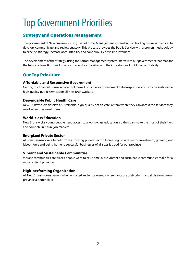# <span id="page-7-0"></span>Top Government Priorities

### Strategy and Operations Management

The government of New Brunswick (GNB) uses a Formal Management system built on leading business practices to develop, communicate and review strategy. This process provides the Public Service with a proven methodology to execute strategy, increase accountability and continuously drive improvement.

The development of the strategy, using the Formal Management system, starts with our governments roadmap for the future of New Brunswick that focuses on key priorities and the importance of public accountability.

### Our Top Priorities:

#### **Affordable and Responsive Government**

Getting our financial house in order will make it possible for government to be responsive and provide sustainable high-quality public services for all New Brunswickers.

#### **Dependable Public Health Care**

New Brunswickers deserve a sustainable, high-quality health-care system where they can access the services they need when they need them.

#### **World-class Education**

New Brunswick's young people need access to a world-class education, so they can make the most of their lives and compete in future job markets.

#### **Energized Private Sector**

All New Brunswickers benefit from a thriving private sector. Increasing private sector investment, growing our labour force and being home to successful businesses of all sizes is good for our province.

#### **Vibrant and Sustainable Communities**

Vibrant communities are places people want to call home. More vibrant and sustainable communities make for a more resilient province.

#### **High-performing Organization**

All New Brunswickers benefit when engaged and empowered civil servants use their talents and skills to make our province a better place.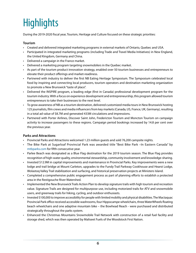# <span id="page-8-0"></span>**Highlights**

During the 2019-2020 fiscal year, Tourism, Heritage and Culture focused on these strategic priorities:

#### **Tourism**

- Created and delivered integrated marketing programs in external markets of Ontario, Quebec and USA.
- Participated in integrated marketing programs (including Trade and Travel Media Initiatives) in New England, the United Kingdom, Germany and China.
- Delivered a campaign in the France market.
- Delivered a marketing program targeting snowmobilers in the Quebec market.
- As part of the tourism product innovation strategy, enabled over 50 tourism businesses and entrepreneurs to elevate their product offerings and market-readiness.
- Partnered with industry to deliver the first NB Eating Heritage Symposium. The Symposium celebrated local food by inspiring and connecting local producers, tourism operators and destination marketing organization to promote a New Brunswick "taste of place".
- Delivered the INSPIRE program, a leading edge (first in Canada) professional development program for the tourism industry. With a focus on experience development and entrepreneurship, this program allowed tourism entrepreneurs to take their businesses to the next level.
- To grow awareness of NB as a tourism destination, delivered customized media tours in New Brunswick hosting 125 journalists, film crews and media influencers from key markets (Canada, US, France, UK, Germany), resulting in a total ad value of \$8.7M and generated 433M circulations and impressions.
- Partnered with Porter Airlines, Discover Saint John, Fredericton Tourism and Moncton Tourism on campaign activity to increase passengers to these regions. Campaign period bookings increased by 14.8 per cent over the previous year.

#### **Parks and Attractions**

- Provincial Parks and Attractions welcomed 1.23 million guests and sold 76,200 campsite nights.
- The Bike Park at Sugarloaf Provincial Park was awarded title "Best Bike Park –In Eastern Canada" by [mtbparks.com](http://mtbparks.com) for fifth consecutive year.
- Parlee Beach was designated as a Blue Flag destination for the 2019 tourism season. The Blue Flag provides recognition of high-water quality, environmental stewardship, community involvement and knowledge-sharing.
- Invested \$12.9M in capital improvements and maintenance in Provincial Parks. Key improvements were a new lodge and trail bridge at Mount Carleton, upgrades to the Fundy Trail Parkway Cookhouse and Hearst Lodge, Wolastoq Valley Trail stabilization and surfacing, and historical preservation projects at Ministers Island.
- Completed a comprehensive public engagement process as part of planning efforts to establish a protected area in the Restigouche River Watershed.
- Implemented the New Brunswick Trails Action Plan to develop signature trails with high tourism and recreation value. Signature Trails are designed for multipurpose use, including motorized trails for ATV and snowmobile users, and greenway trails for hiking, cycling, and outdoor enthusiasts.
- Invested \$100,000 to improve accessibility for people with limited mobility and physical disabilities. The Mactaquac Provincial Park office received accessible washrooms, four Hippocampe wheelchairs, three WaterWheels floating beach wheelchairs and one adaptive mountain bike – the Bowhead Reach - were purchased and distributed strategically throughout the parks system.
- Enhanced the Christmas Mountains Snowmobile Trail Network with construction of a retail fuel facility and storage shed, which was then operated by Maliseet Fuels of the Woodstock First Nation.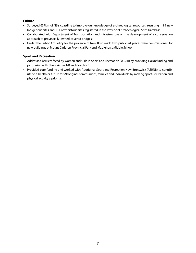#### **Culture**

- Surveyed 637km of NB's coastline to improve our knowledge of archaeological resources, resulting in 89 new Indigenous sites and 114 new historic sites registered in the Provincial Archaeological Sites Database.
- Collaborated with Department of Transportation and Infrastructure on the development of a conservation approach to provincially-owned covered bridges;
- Under the Public Art Policy for the province of New Brunswick, two public art pieces were commissioned for new buildings at Mount Carleton Provincial Park and Maplehurst Middle School.

#### **Sport and Recreation**

- Addressed barriers faced by Women and Girls in Sport and Recreation (WGSR) by providing GoNB funding and partnering with She is Active NB and Coach NB.
- Provided core funding and worked with Aboriginal Sport and Recreation New Brunswick (ASRNB) to contribute to a healthier future for Aboriginal communities, families and individuals by making sport, recreation and physical activity a priority.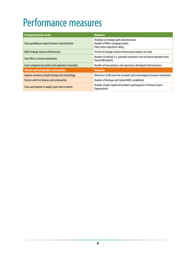# <span id="page-10-0"></span>Performance measures

| <b>Energized private sector</b>                     | <b>Measures</b>                                                                                                       |
|-----------------------------------------------------|-----------------------------------------------------------------------------------------------------------------------|
| Grow spending on natural resource-based tourism     | Visitation at strategic parks and attractions<br>Number of NB'ers camping in parks<br>Parks visitor experience rating |
| Build strategic tourism infrastructure              | Percent of strategic tourism infrastructure projects on-track                                                         |
| Grow NB as a tourism destination                    | Number of referrals (i.e. potential customers) sent to tourism operators from<br>TourismNB website                    |
| Grow companies by product and experience innovation | Number of new products and experiences developed with businesses                                                      |
| <b>Vibrant and sustainable communities</b>          | <b>Measures</b>                                                                                                       |
| Improve inventory of built heritage and archaeology | Kilometers of NB coast line surveyed, and archaeological resources inventoried                                        |
| <b>Partner with First Nations and communities</b>   | Number of Heritage and Culture MOU's established                                                                      |
| Grow participation in quality sport and recreation  | Number of paid, registered members (participants) in Provincial Sport<br><b>Organizations</b>                         |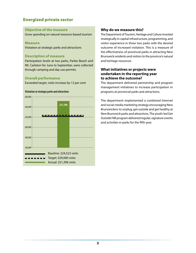#### **Objective of the measure**

Grow spending on natural resource-based tourism

#### **Measure**

Visitation at strategic parks and attractions

#### **Description of measure**

Participation levels at two parks, Parlee Beach and Mt. Carleton for June to September, were collected through camping and day use permits.

#### **Overall performance**

Exceeded target, visits increase by 12 per cent

#### *Visitation at strategic parks and attractions*



#### **Why do we measure this?**

The Department of Tourism, Heritage and Culture invested strategically in capital infrastructure, programming, and visitor experience in these two parks with the desired outcome of increased visitation. This is a measure of the effectiveness of provincial parks in attracting New Brunswick residents and visitors to the province's natural and heritage resources.

#### **What initiatives or projects were undertaken in the reporting year to achieve the outcome?**

The department delivered partnership and program management initiatives to increase participation in programs at provincial parks and attractions.

The department implemented a combined Internet and social-media marketing strategy encouraging New Brunswickers to unplug, get outside and get healthy at New Brunswick parks and attractions. The youth-led Get Outside! NB program delivered regular, signature events and activities in parks for the fifth year.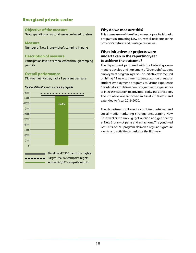#### **Objective of the measure**

Grow spending on natural resource-based tourism

#### **Measure**

Number of New Brunswicker's camping in parks

#### **Description of measure**

Participation levels at are collected through camping permits

#### **Overall performance**

Did not meet target, had a 1 per cent decrease

#### *Number of New Brunswicker's camping in parks*



#### **Why do we measure this?**

This is a measure of the effectiveness of provincial parks programs in attracting New Brunswick residents to the province's natural and heritage resources.

#### **What initiatives or projects were undertaken in the reporting year to achieve the outcome?**

The department partnered with the Federal government to develop and implement a "Green Jobs" student employment program in parks. This initiative was focused on hiring 13 new summer students outside of regular student employment programs as Visitor Experience Coordinators to deliver new programs and experiences to increase visitation to provincial parks and attractions. The initiative was launched in fiscal 2018-2019 and extended to fiscal 2019-2020.

The department followed a combined Internet and social-media marketing strategy encouraging New Brunswickers to unplug, get outside and get healthy at New Brunswick parks and attractions. The youth-led Get Outside! NB program delivered regular, signature events and activities in parks for the fifth year.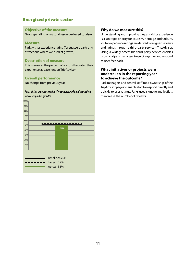#### **Objective of the measure**

Grow spending on natural resource-based tourism

#### **Measure**

Parks visitor experience rating (for strategic parks and attractions where we predict growth)

#### **Description of measure**

This measures the percent of visitors that rated their experience as excellent on TripAdvisor.

#### **Overall performance**

No change from previous year

#### *Parks visitor experience rating (for strategic parks and attractions where we predict growth)*



#### **Why do we measure this?**

Understanding and improving the park visitor experience is a strategic priority for Tourism, Heritage and Culture. Visitor experience ratings are derived from guest reviews and ratings through a third-party service – TripAdvisor. Using a widely accessible third-party service enables provincial park managers to quickly gather and respond to user feedback.

#### **What initiatives or projects were undertaken in the reporting year to achieve the outcome?**

Park managers and central staff took 'ownership' of the TripAdvisor pages to enable staff to respond directly and quickly to user ratings. Parks used signage and leaflets to increase the number of reviews.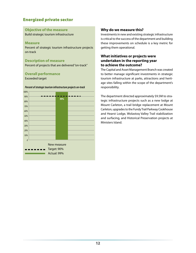#### **Objective of the measure**

Build strategic tourism infrastructure

#### **Measure**

Percent of strategic tourism infrastructure projects on-track

#### **Description of measure**

Percent of projects that are delivered "on-track"

#### **Overall performance**

Exceeded target



#### *Percent of strategic tourism infrastructure projects on-track*

#### **Why do we measure this?**

Investments in new and existing strategic infrastructure is critical to the success of the department and building these improvements on schedule is a key metric for getting them operational.

#### **What initiatives or projects were undertaken in the reporting year to achieve the outcome?**

The Capital and Asset Management Branch was created to better manage significant investments in strategic tourism infrastructure at parks, attractions and heritage sites falling within the scope of the department's responsibility.

The department directed approximately \$9.5M to strategic infrastructure projects such as a new lodge at Mount Carleton, a trail bridge replacement at Mount Carleton, upgrades to the Fundy Trail Parkway Cookhouse and Hearst Lodge, Wolastoq Valley Trail stabilization and surfacing, and Historical Preservation projects at Ministers Island.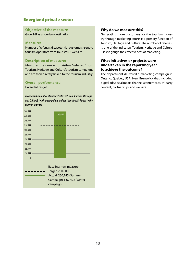#### **Objective of the measure**

Grow NB as a tourism destination

#### **Measure:**

Number of referrals (i.e. potential customers) sent to tourism operators from TourismNB website

#### **Description of measure:**

Measures the number of visitors "referred" from Tourism, Heritage and Culture's tourism campaigns and are then directly linked to the tourism industry.

#### **Overall performance:**

Exceeded target

*Measures the number of visitors "referred" from Tourism, Heritage and Culture's tourism campaigns and are then directly linked to the tourism industry.*

| 300,000  |  |                 |                              |
|----------|--|-----------------|------------------------------|
| 270,000  |  | 297,567         |                              |
| 240,000  |  |                 |                              |
| 210,000  |  |                 |                              |
| 180,000  |  |                 |                              |
| 150,000  |  |                 |                              |
| 120,000  |  |                 |                              |
| 90,000   |  |                 |                              |
| 60,000   |  |                 |                              |
| 30,000   |  |                 |                              |
| $\theta$ |  |                 |                              |
|          |  |                 |                              |
|          |  |                 | <b>Baseline: new measure</b> |
|          |  | Target: 200,000 |                              |
|          |  |                 | Actual: 230,145 (Summer      |
|          |  |                 | Campaign) + 67,422 (winter   |
|          |  | campaign)       |                              |

#### **Why do we measure this?**

Generating more customers for the tourism industry through marketing efforts is a primary function of Tourism, Heritage and Culture. The number of referrals is one of the indicators Tourism, Heritage and Culture uses to gauge the effectiveness of marketing.

#### **What initiatives or projects were undertaken in the reporting year to achieve the outcome?**

The department delivered a marketing campaign in Ontario, Quebec, USA, New Brunswick that included digital ads, social media channels content /ads, 3<sup>rd</sup> party content, partnerships and website.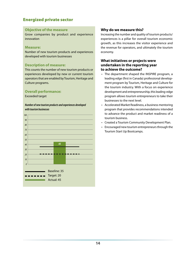#### **Objective of the measure**

Grow companies by product and experience innovation

#### **Measure:**

Number of new tourism products and experiences developed with tourism businesses

#### **Description of measure:**

This counts the number of new tourism products or experiences developed by new or current tourism operators that are enabled by Tourism, Heritage and Culture programs.

#### **Overall performance:**

Exceeded target

*Number of new tourism products and experiences developed with tourism businesses*



#### **Why do we measure this?**

Increasing the number and quality of tourism products/ experiences is a pillar for overall tourism economic growth, as this increases the visitor experience and the revenue for operators, and ultimately the tourism economy.

#### **What initiatives or projects were undertaken in the reporting year to achieve the outcome?**

- The department shaped the INSPIRE program, a leading edge (first in Canada) professional development program by Tourism, Heritage and Culture for the tourism industry. With a focus on experience development and entrepreneurship, this leading-edge program allows tourism entrepreneurs to take their businesses to the next level.
- Accelerated Market Readiness, a business mentoring program that provides recommendations intended to advance the product and market readiness of a tourism business.
- Created a Tourism Community Development Plan.
- Encouraged new tourism entrepreneurs through the Tourism Start Up Bootcamps.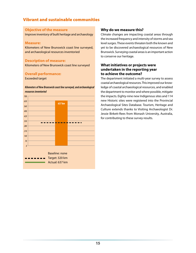### Vibrant and sustainable communities

#### **Objective of the measure**

Improve inventory of built heritage and archaeology

#### **Measure:**

Kilometers of New Brunswick coast line surveyed, and archaeological resources inventoried

#### **Description of measure:**

Kilometers of New Brunswick coast line surveyed

#### **Overall performance:**

Exceeded target

#### *Kilometers of New Brunswick coast line surveyed, and archaeological resources inventoried*



#### **Why do we measure this?**

Climate changes are impacting coastal areas through the increased frequency and intensity of storms and sea level surges. These events threaten both the known and yet to be discovered archaeological resources of New Brunswick. Surveying coastal areas is an important action to conserve our heritage.

#### **What initiatives or projects were undertaken in the reporting year to achieve the outcome?**

The department initiated a multi-year survey to assess coastal archaeological resources. This improved our knowledge of coastal archaeological resources, and enabled the department to monitor and where possible, mitigate the impacts. Eighty-nine new Indigenous sites and 114 new Historic sites were registered into the Provincial Archaeological Sites Database. Tourism, Heritage and Culture extends thanks to Visiting Archaeologist Dr. Jessie Birkett-Rees from Monash University, Australia, for contributing to these survey results.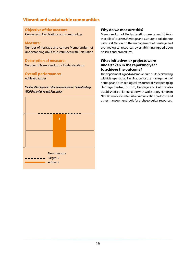### Vibrant and sustainable communities

#### **Objective of the measure**

Partner with First Nations and communities

#### **Measure:**

Number of heritage and culture Memorandum of Understandings (MOU's) established with First Nation

#### **Description of measure:**

Number of Memorandum of Understandings

#### **Overall performance:**

Achieved target

*Number of heritage and culture Memorandum of Understandings (MOU's) established with First Nation*



#### **Why do we measure this?**

Memorandum of Understandings are powerful tools that allow Tourism, Heritage and Culture to collaborate with First Nation on the management of heritage and archaeological resources by establishing agreed upon policies and procedures.

#### **What initiatives or projects were undertaken in the reporting year to achieve the outcome?**

The department signed a Memorandum of Understanding with Metepenagiag First Nation for the management of heritage and archaeological resources at Metepenagiag Heritage Centre. Tourism, Heritage and Culture also established a bi-lateral table with Wolastoqey Nation in New Brunswick to establish communication protocols and other management tools for archaeological resources.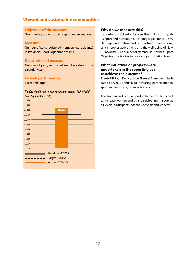### Vibrant and sustainable communities

#### **Objective of the measure**

Grow participation in quality sport and recreation

#### **Measure:**

Number of paid, registered members (participants) in Provincial Sport Organizations (PSO)

#### **Description of measure:**

Number of paid, registered members during the calendar year

#### **Overall performance:**

Exceeded target

## *Number of paid, registered members (participants) in Provincial*

*Sport Organizations (PSO)*

| 125,000 |  |                                                                     |  |
|---------|--|---------------------------------------------------------------------|--|
| 112,500 |  |                                                                     |  |
| 100,000 |  | 105,672                                                             |  |
| 87,500  |  |                                                                     |  |
| 75,000  |  |                                                                     |  |
| 62,500  |  |                                                                     |  |
| 50,000  |  |                                                                     |  |
| 37,500  |  |                                                                     |  |
| 25,000  |  |                                                                     |  |
| 12,500  |  |                                                                     |  |
| 0       |  |                                                                     |  |
|         |  | <b>Baseline: 87,282</b><br>Target: 88,155<br><b>Actual: 105,672</b> |  |
|         |  |                                                                     |  |

#### **Why do we measure this?**

Increasing participation by New Brunswickers in quality sport and recreation is a strategic goal for Tourism, Heritage and Culture and our partner organizations, as it improves active living and the well-being of New Brunswickers. The number of members in Provincial Sport Organizations is a key indicator of participation levels.

#### **What initiatives or projects were undertaken in the reporting year to achieve the outcome?**

The GoNB Sport Participation Bilateral Agreement dedicated \$577,000 annually to increasing participation in sport and improving physical literacy.

The Women and Girls in Sport initiative was launched to increase women and girls participating in sport at all levels (participants, coaches, officials and leaders).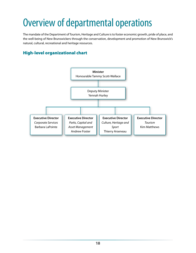# <span id="page-20-0"></span>Overview of departmental operations

The mandate of the Department of Tourism, Heritage and Culture is to foster economic growth, pride of place, and the well-being of New Brunswickers through the conservation, development and promotion of New Brunswick's natural, cultural, recreational and heritage resources.

# High-level organizational chart

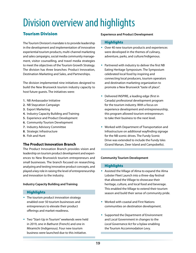# <span id="page-21-0"></span>Division overview and highlights

# Tourism Division

The Tourism Division's mandate is to provide leadership in the development and implementation of innovative experiential tourism products, multi-channel marketing and sales campaigns, social media community management, visitor counselling, and travel media strategies to meet the objectives of the Tourism Growth Strategy. The division has three branches: Product Innovation, Destination Marketing and Sales, and Partnerships.

The division implemented nine initiatives designed to build the New Brunswick tourism industry capacity to host future guests. The initiatives were:

- **1.** NB Ambassador Initiative
- **2.** NB Staycation Campaign
- **3.** Export Marketing
- **4.** Industry Capacity Building and Training
- **5.** Experience and Product Development
- **6.** Community Tourism Development
- **7.** Industry Advisory Committee
- **8.** Strategic Infrastructure
- **9.** Fish and Hunt

### **The Product Innovation Branch**

The Product Innovation Branch provides vision and leadership on tourism product development and experiences to New Brunswick tourism entrepreneurs and small businesses. The branch focused on researching, analyzing and testing innovative product concepts, and played a key role in raising the level of entrepreneurship and innovation to the industry.

#### **Industry Capacity Building and Training**

#### **Highlights**

- The tourism product innovation strategy enabled over 50 tourism businesses and entrepreneurs to elevate their product offerings and market-readiness.
- Two "Start-Up in Tourism" weekends were held in 2019, one in Bathurst (French) and one in Miramichi (Indigenous). Four new tourism business were launched due to this initiative.

#### **Experience and Product Development**

#### **Highlights**

- Over 40 new tourism products and experiences were developed in the themes of culinary, adventure, parks, and culture/Indigenous.
- Partnered with industry to deliver the first NB Eating Heritage Symposium. The Symposium celebrated local food by inspiring and connecting local producers, tourism operators and destination marketing organization to promote a New Brunswick "taste of place".
- ◆ Delivered INSPIRE, a leading edge (first in Canada) professional development program for the tourism industry. With a focus on experience development and entrepreneurship, this program allowed tourism entrepreneurs to take their business to the next level.
- Worked with Department of Transportation and Infrastructure on additional wayfinding signage for the NB scenic drives. The Fundy Scenic Drive was extended to include the Fundy Isles (Grand Manan, Deer Island and Campobello).

#### **Community Tourism Development**

#### **Highlights**

- Assisted the Village of Alma to expand the Alma Lobster Fleet Launch into a three-day festival that allowed the Village to showcase their heritage, culture, and local food and beverage. This enabled the Village to extend their tourism season and build their sense of community pride.
- Worked with coastal and First Nations communities on destination development.
- ◆ Supported the Department of Environment and Local Government in changes to the *Local Governance Act* for a bylaw enabling the Tourism Accommodation Levy.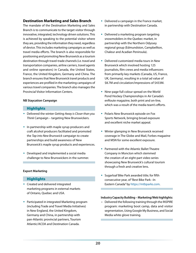#### **Destination Marketing and Sales Branch**

The mandate of the Destination Marketing and Sales Branch is to communicate to the target visitor through innovative, integrated, technology driven solutions. This is achieved by speaking to the potential visitor where they are, providing the information they need, regardless of device. This includes marketing campaigns as well as travel media efforts. The branch is also responsible for positioning and promoting New Brunswick as a tourism destination through travel-trade channels (i.e. travel and transportation companies, airline carriers, travel agents and online operators) in Canada, the United States, France, the United Kingdom, Germany and China. The branch ensures that New Brunswick travel products and experiences are profiled in the marketing campaigns of various travel companies. The branch also manages the Provincial Visitor Information Centers.

#### **NB Staycation Campaign**

#### **Highlights**

- Delivered the winter *Getting Away is Closer than you Think* Campaign – targeting New Brunswickers.
- $\bullet$  In partnership with maple syrup producers and craft alcohol producers facilitated and promoted the *Tap into New Brunswick* campaign to create partnerships and build awareness of New Brunswick's maple syrup products and experiences.
- Developed and implemented a social media challenge to New Brunswickers in the summer.

#### **Export Marketing**

#### **Highlights**

- Created and delivered integrated marketing programs in external markets of Ontario, Quebec and USA.
- Participated in integrated Marketing program (including Trade and Travel Media Initiatives) in New England, the United Kingdom, Germany and China, in partnership with pan-Atlantic provincial partners, Tourism Atlantic/ACOA and Destination Canada.
- Delivered a campaign in the France market, in partnership with Destination Canada.
- Delivered a marketing program targeting snowmobilers in the Quebec market, in partnership with the Northern Odyssey regional group (Edmundston, Campbellton, Chaleur and Acadian Peninsula).
- Delivered customized media tours in New Brunswick which involved hosting 125 journalists, film crews and media influencers from primarily key markets (Canada, US, France, UK, Germany), resulting in a total ad value of \$8.7M and circulation/impressions of \$433M.
- Nine-page full colour spread on the World Pond Hockey Championships in Air Canada's enRoute magazine, both print and on-line, which was a result of the media team's efforts.
- Polaris New Brunswick episode on Fox Sports Network, bringing broad exposure and excellent niche market appeal.
- Winter glamping in New Brunswick received coverage in The Globe and Mail, Forbes magazine and MSN for some excellent exposure.
- Partnered with the Atlantic Ballet Theatre Company in Moncton which stemmed the creation of an eight-part video series showcasing New Brunswick's cultural tourism through a fresh and creative lens.
- Sugarloaf Bike Park awarded title; for fifth consecutive year, of "Best Bike Park –In Eastern Canada" by [https://mtbparks.com.](https://mtbparks.com)

#### **Industry Capacity Building – Marketing/Web highlights:**

• Delivered the following training through the INSPIRE program: marketing boot camp, data and visitor segmentation, Using Google My Business, and Social Media white glove training.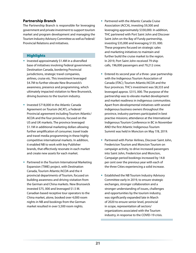#### **Partnership Branch**

The Partnership Branch is responsible for leveraging government and private investment to support tourism market and program development and managing the Tourism Industry Advisory Committee as well as Federal/ Provincial Relations and initiatives.

#### **Highlights**

- $\bullet$  Invested approximately \$1.4M in a diversified base of initiatives involving Federal government; Destination Canada, bordering Provincial jurisdictions, strategic travel companies, airlines, cruise etc. This investment leveraged \$4.7M to further elevate New Brunswick's awareness, presence and programming, which ultimately impacted visitation to New Brunswick, driving business to the tourism industry.
- Invested \$718,000 in the Atlantic Canada Agreement on Tourism (ACAT), a Federal/ Provincial agreement including Tourism Atlantic/ ACOA and the four provinces, focused on the US and UK markets. The province leveraged \$1.1M in additional marketing dollars allowing further amplification of consumer, travel trade and travel media programming in these highly competitive international markets. In addition, it enabled NB to work with key Publisher brands, that effectively resonate in each market and create new assets for each market.
- Partnered in the Tourism International Marketing Expansion (TIME) project, with Destination Canada, Tourism Atlantic/ACOA and the 4 provincial departments of Tourism, focused on building awareness and driving visitation from the German and China markets. New Brunswick invested \$75, 000 and leveraged \$1.5 M. Canadian based receptive tour operators to the China market, alone, booked over 4,000 room nights in NB and bookings from the German market resulted in over 5,500 room nights.
- Partnered with the Atlantic Canada Cruise Association (ACCA), investing \$9,300 and leveraging approximately \$330,000. In addition, THC partnered with Port Saint John and Discover Saint John on the Bay of Fundy partnership, investing \$35,000 and leveraging \$135, 000. These programs focused on strategic sales and marketing initiatives to maintain and further build the cruise market to the region. In 2019, Port Saint John received 79 ship calls, 196,000 passengers and 79,212 crew.
- Entered its second year of a three- year partnership with the Indigenous Tourism Association of Canada (ITAC); Tourism Atlantic/ACOA and the four provinces. THC's investment was \$8,333 and leveraged approx. \$315, 000. The purpose of the partnership was to elevate market development and market readiness in indigenous communities. Apart from developmental initiatives with several indigenous business owners throughout the province, industry partners participated in best practise missions; attendance at the International Indigenous Tourism Conference in BC in November AND the first Atlantic Indigenous Tourism Summit was held in Moncton on May 7/8, 2019.
- Partnered with Porter Airlines, Discover Saint John, Fredericton Tourism and Moncton Tourism on campaign activity, to drive increased passengers into Saint John, Fredericton and Moncton, Campaign period bookings increased by 14.8 per cent over the previous year with each of the three Cities experiencing a solid increase.
- Established the NB Tourism Industry Advisory Committee early in 2019, to ensure strategic exchanges, stronger collaboration and a stronger understanding of issues, challenges and opportunities by the tourism industry, was significantly expanded late in March of 2020 to ensure senior level, provincial in scope, representation all sectors/ organizations associated with the Tourism industry, in response to the COVID-19 crisis.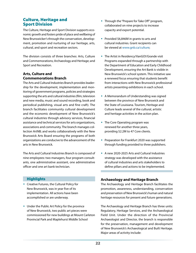### Culture, Heritage and Sport Division

The Culture, Heritage and Sport Division supports economic growth and fosters pride of place and wellbeing of New Brunswicker's through the conservation, development, promotion and nurturing of our heritage, arts, cultural, and sport and recreation sectors.

The division consists of three branches: Arts, Culture and Commemorations; Archaeology and Heritage; and Sport and Recreation.

#### **Arts, Culture and Commemorations Branch**

The Arts and Cultural Industries Branch provides leadership for the development, implementation and monitoring of government programs, policies and strategies supporting the arts and cultural industries (film, television and new media, music and sound recording, book and periodical publishing, visual arts and fine craft). The branch facilitates community cultural development and the economic development of New Brunswick's cultural industries through advisory services, financial assistance and technical services for arts organizations, associations and community. The branch manages collection ArtNB; and works collaboratively with the New Brunswick Arts Board ensuring the programs of both organizations are conducive to the advancement of the arts in New Brunswick.

The Arts and Cultural Industries Branch is composed of nine employees: two managers, four program consultants, one administrative assistant, one administrative officer and one art bank technician.

#### **Highlights**

- Creative Futures, the Cultural Policy for New Brunswick, was in year five of its implementation. All actions have been accomplished or are underway.
- Under the Public Art Policy for the province of New Brunswick, two public art pieces were commissioned for new buildings at Mount Carleton Provincial Park and Maplehurst Middle School
- Through the "Prepare for Take Off" program, collaborated on nine projects to increase capacity and export potential.
- ◆ Provided \$6,846M in grants to arts and cultural industries. Grant recipients can be viewed at [www.gnb.ca/culture;](http://www.gnb.ca/culture)
- The Artist in Residency/VanGO!/Grande visit Programs expanded through a partnership with the Department of Education and Early Childhood Development, ensuring the Art Bank is visible in New Brunswick's school system. This initiative saw a renewed focus ensuring that students benefit from interactions with New Brunswick professional artists presenting exhibitions in each school.
- A Memorandum of Understanding was signed between the province of New Brunswick and the State of Louisiana. Tourism, Heritage and Culture leads several of the cultural, artistic and heritage activities in the action plan.
- The Core Operating program was renewed for another three years, providing \$2.2M to 47 Core clients.
- Preparation for Frankfurt 2020 was supported through funding provided to three publishers.
- A new 2020-2025 Arts and Cultural Industries strategy was developed with the assistance of cultural industries and arts stakeholders to define pillars and actions to be implemented.

#### **Archaeology and Heritage Branch**

The Archaeology and Heritage Branch facilitates the promotion, awareness, understanding, conservation and preservation of New Brunswick's human and natural heritage resources for present and future generations.

The Archaeology and Heritage Branch has three units: Regulatory, Heritage Services, and the Archaeological Field Unit. Under the direction of the Provincial Archaeologist and Director, the branch is responsible for the preservation, management and development of New Brunswick's Archaeological and Built Heritage. Major areas of activity include: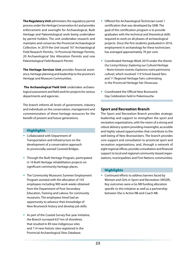**The Regulatory Unit** administers the regulatory permit process under the *Heritage Conservation Act* and provides enforcement and oversight for Archaeological, Built Heritage and Paleontological work being undertaken by permit holders. The unit undertakes research and maintains and conserves the Provincial Archaeological Collection. In 2019 the Unit issued 167 Archaeological Field Research Permits, 14 Provincial Heritage Permits, 20 Archaeological Site Alteration Permits and one Paleontological Field Research Permit.

**The Heritage Services Unit** provides financial assistance, heritage planning and leadership to the province's Heritage and Museum Communities.

 **The Archaeological Field Unit** undertakes archaeological assessment and field work for projects for various departments and agencies.

The branch informs all levels of government, industry and individuals on the conservation, management and commemoration of these heritage resources for the benefit of present and future generations.

#### **Highlights**

- Collaborated with Department of Transportation and Infrastructure on the development of a conservation approach to provincially-owned Covered Bridges.
- Through the Built Heritage Program, participated in 16 Built Heritage rehabilitation projects on significant community heritage places.
- The Community Museums Summer Employment Program assisted with the allocation of 103 employees including 900 work weeks obtained from the Department of Post-Secondary Education, Training and Labour, for community museums. The employees hired had an opportunity to advance their knowledge of New Brunswick history and develop job skills.
- As part of the Coastal Survey five-year initiative, the Branch surveyed 637 km of shorelines that resulted in 89 new Indigenous sites and 114 new historic sites registered in the Provincial Archaeological Sites Database.
- Offered the Archaeological Technician Level 1 certification that was developed by GNB. The goal of this certification program is to provide graduates with the technical and theoretical skills required to work on all phases of archaeological projects. Since the first students graduated in 2016, employment in archaeology for these technicians has averaged approximately 70 per cent.
- Coordinated Heritage Week 2019 under the theme *Our Living History: Exploring our Cultural Heritage – Notre histoire vivante: Explorons notre patrimoine culturel*, which involved 119 School-based fairs and 11 Regional Heritage Fairs culminating in the Provincial Heritage Fair Showcase.
- Coordinated the Official New Brunswick Day Celebration held in Pokemouche

#### **Sport and Recreation Branch**

The Sport and Recreation Branch provides strategic leadership and support to strengthen the sport and recreation organizations, with the vision of a strong and robust delivery system providing meaningful, accessible and highly valued opportunities that contribute to the well-being of New Brunswickers. The branch provides core support and consultation to provincial sport and recreation organizations; and, through a network of eight regional offices, provides consultation and financial support to local and regional community-based organizations, municipalities and First Nations communities.

#### **Highlights**

 Continued efforts to address barriers faced by Women and Girls in Sport and Recreation (WGSR). Key outcomes were a Go NB funding allocation specific to this initiative as well as a partnership between She is Active NB and Coach NB.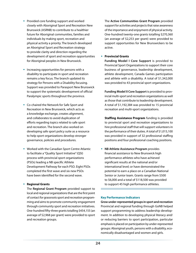- Provided core funding support and worked closely with Aboriginal Sport and Recreation New Brunswick (ASRNB) to contribute to a healthier future for Aboriginal communities, families and individuals by making sport, recreation and physical activity a priority. The branch developed an Aboriginal Sport and Recreation strategy to provide clarity and direction regarding the development of sport and recreation opportunities for Aboriginal peoples in New Brunswick.
- $\bullet$  Increasing opportunities for persons with a disability to participate in sport and recreation remains a key focus. The branch updated its strategy for Persons with a Disability focusing. Support was provided to Parasport New Brunswick to support the systematic development of official Paralympic sports throughout the province.
- Co-chaired the Network for Safe Sport and Recreation in New Brunswick, which acts as a knowledge exchange, creates alignment, and collaborates to avoid duplication of efforts regarding topics related to safe sport and recreation. The branch also worked on developing safe sport policy suite as a resource to help sport organizations develop stronger governance, policies and procedures.
- Worked with the Canadian Sport Centre Atlantic to facilitate a "Quality Sport Initiative" (QSI) process with provincial sport organizations (PSOs) leading a NB specific Athlete Development Pathway for each PSO. Eight PSOs completed the first wave and six new PSOs have been identified for the second wave.

#### **Regional Grants**

The **Regional Grant Program** provided support to local and regional organizations that are the first point of contact for grassroots sport and recreation programming and aims to promote community engagement through community sport and recreation initiatives. One-hundred fifty-three grants totalling \$454,155 (an average of \$2,968 per grant) were provided to sport and recreation groups.

The **Active Communities Grant Program** provided support for activities and projects that raise awareness of the importance and enjoyment of physical activity. One-hundred twenty-one grants totalling \$270,360 (an average of \$2,253 per grant) were provided to support opportunities for New Brunswickers to be active.

**Provincial Grants**

**Funding Model I Core Support** is provided to Provincial Sport Organizations to support their core business of governance, leadership development, athlete development, Canada Games participation and athlete with a disability. A total of \$1,342,000 was provided to 43 provincial sport organizations.

**Funding Model II Core Support** is provided to provincial multi-sport and recreation organizations as well as those that contribute to leadership development. A total of \$1,192,384 was provided to 15 provincial recreation and multi-sport organizations.

**Staffing Assistance Program** funding is provided to provincial sport and recreation organizations to hire professional staff that will support volunteers in the performance of their duties. A total of \$1,015,100 was provided in support of 32 professional staffing positions and four professional coaching positions.

 **NB Athlete Assistance Program** provides financial assistance to New Brunswick high performance athletes who have achieved significant results at the national and/or international level; or have demonstrated the potential to earn a place on a Canadian National Senior or Junior team. Grants range from \$500 to \$6,000 and a total of \$118,500 was provided to support 45 high performance athletes.

#### **Key Performance Indicators**

**Grow under-represented groups in sport and recreation** Provincial and regional funding through GoNB helped support programming to address leadership development. In addition to developing physical literacy and/ or reducing barriers to sport participation, particular emphasis is placed on participation by under-represented groups: Aboriginal youth, persons with a disability, economically disadvantaged and women and girls.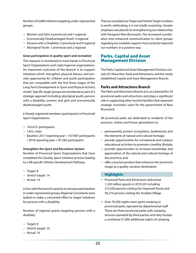Number of GoNB initiatives targeting under-represented groups:

- Women and Girls: 6 provincial and 5 regional
- Economically Disadvantaged Youth: 4 regional
- Persons with a Disability: 5 provincial and 9 regional
- Aboriginal Youth: 1 provincial and 2 regional

#### **Grow participation in quality sport and recreation**

This measure is monitored to track trends in Provincial Sport Organizations and clubs/regional organizations. An important outcome of the Branch is to support initiatives which strengthen physical literacy and provide opportunity for children and youth participation that are compatible with the first three stages of the Long-Term Development in Sport and Physical Activity model. Specific target groups are monitored as part of a strategic approach including: aboriginal youth, persons with a disability, women and girls and economically disadvantaged youth.

# of paid, registered members (participants) in Provincial Sport Organizations

- 105,672: participants
- 1422: clubs
- Baseline: 2017 reporting year = 107,967 participants / 2018 reporting year = 87,282 participants

#### **Strengthen the Sport and Recreation System**

Number of Provincial Sport Organizations that have completed the Quality Sport Initiative process leading to a NB specific Athlete Development Pathway:

- Target: 8
- Stretch target: 14
- Actual: 14

In line with the branch's priority to increase participation in under-represented groups, Regional Consultants were tasked to make a concerted effort to target initiatives for persons with a disability.

Number of regional grants targeting persons with a disability:

- Target: 8
- Stretch target: 10
- Actual: 16

That we exceeded our Target and Stretch Target numbers is worth celebrating, it is not totally surprising. Greater emphasis was placed on strengthening our relationship with Parasport New Brunswick. This increased coordination and enhanced communication to client groups regarding our available support most certainly impacted our numbers in a positive way.

### Parks, Capital and Asset Management Division

The Parks, Capital and Asset Management Division consists of 2 Branches: Parks and Attractions, and the newly established Capital and Asset Management Branch.

#### **Parks and Attractions Branch**

The Parks and Attractions Branch acts as a steward for 24 provincial parks and attractions and plays a significant role in supporting other tourism facilities that represent strategic economic value for the government of New Brunswick.

All provincial parks are dedicated to residents of the province, visitors and future generations to:

- permanently protect ecosystems, biodiversity and the elements of natural and cultural heritage;
- provide opportunities for recreational and outdoor educational activities to promote a healthy lifestyle;
- provide opportunities to increase knowledge and appreciation of the natural and cultural heritage of the province; and
- offer a tourism product that enhances the province's image as a quality vacation destination.

#### **Highlights**

- Provincial Parks and Attractions welcomed 1.230 million guests in 2019-20; including 273,500 persons visiting the Hopewell Rocks and 56,270 persons visiting the Acadian Village.
- Over 76,200 nights were spent camping in provincial parks operated by departmental staff. There are three provincial parks with camping services operated by third-parties and they hosted a combined 31,000 additional nights of camping.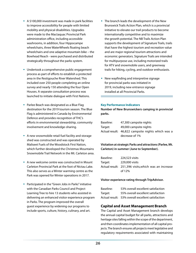- A \$100,000 investment was made in park facilities to improve accessibility for people with limited mobility and physical disabilities. Upgrades were made to the Mactaquac Provincial Park administration office, including accessible washrooms, in addition, four Hippocampe wheelchairs, three WaterWheels floating beach wheelchairs and one adaptive mountain bike – the Bowhead Reach - were purchased and distributed strategically throughout the parks system.
- Undertook a comprehensive public engagement process as part of efforts to establish a protected area in the Restigouche River Watershed. This included over 250 people completing an online survey and nearly 150 attending the four Open Houses. A separate consultation process was launched to initiate dialogue with First Nations.
- Parlee Beach was designated as a Blue Flag destination for the 2019 tourism season. The Blue Flag is administered in Canada by Environmental Defence and provides recognition of THC's efforts in environmental stewardship, community involvement and knowledge-sharing.
- A new snowmobile retail fuel facility and storage shed was constructed and was operated by Maliseet Fuels of the Woodstock First Nation, which further developed the Christmas Mountains Snowmobile Trail Network in the Mt. Carleton area.
- A new welcome centre was constructed in Mount Carleton Provincial Park at the foot of Nictau Lake. This also serves as a Winter warming centre as the Park was opened for Winter operations in 2017.
- Participated in the "Green Jobs in Parks" initiative with the Canadian Parks Council and Project Learning Tree to hire 13 students who assisted in delivering an enhanced visitor experience program in Parks. The program improved the overall guest experience by widening our programs to include sports, culture, history, culinary, and art.
- The branch leads the development of the New Brunswick Trails Action Plan, which is a provincial initiative to elevate our trail products to become internationally competitive and to maximize the growth potential. The NB Trails Action Plan supports the development of Signature Trails, trails that have the highest tourism and recreation value and are major regional tourism attractions and economic generators. Signature Trails are intended for multipurpose use, including motorized trails for ATV and snowmobile users, and greenway trails for hiking, cycling, and outdoor enthusiasts.
- New wayfinding and interpretive signage for provincial parks was initiated in 2019, including new entrance signage installed at all Provincial Parks.

#### **Key Performance Indicators**

**Number of New Brunswickers camping in provincial parks.** 

| Baseline: | 47,300 campsite nights                            |
|-----------|---------------------------------------------------|
| Target:   | 49,000 campsite nights                            |
|           | Actual result: 46,822 campsite nights which was a |
|           | decrease of 1%                                    |

#### **Visitation at strategic Parks and attractions (Parlee, Mt. Carleton) in summer (June to September).**

| Baseline: | 224,523 visits                                       |
|-----------|------------------------------------------------------|
| Target:   | 229,000 visits                                       |
|           | Actual result: 251,396 visits, which was an increase |
|           | of 12%                                               |

#### **Visitor experience rating through TripAdvisor.**

| Baseline: | 53% overall excellent satisfaction                |
|-----------|---------------------------------------------------|
| Target:   | 55% overall excellent satisfaction                |
|           | Actual result: 53% overall excellent satisfaction |

#### **Capital and Asset Management Branch**

The Capital and Asset Management branch develops the annual capital budget for all parks, attractions and heritage sites falling within the scope of the department, and then coordinates implementation of all capital projects. The branch ensures all projects meet legislative and regulatory requirements associated with maintaining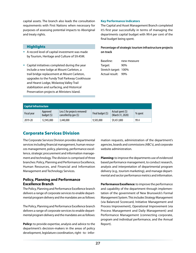capital assets. The branch also leads the consultation requirements with First Nations when necessary for purposes of assessing potential impacts to Aboriginal and treaty rights.

#### **Highlights**

- A record level of capital investment was made by Tourism, Heritage and Culture of \$9.45M.
- Capital initiatives completed during the year include a new lodge at Mount Carleton, a trail bridge replacement at Mount Carleton, upgrades to the Fundy Trail Parkway Cookhouse and Hearst Lodge, Wolastoq Valley Trail stabilization and surfacing, and Historical Preservation projects at Ministers Island.

#### **Key Performance Indicators**

The Capital and Asset Management Branch completed it's first year successfully in terms of managing the departments capital budget with 99.4 per cent of the final budget being spent.

#### **Percentage of strategic tourism infrastructure projects on track**

| Baseline:            | new measure |
|----------------------|-------------|
| Target:              | 90%         |
| Stretch target: 100% |             |
| Actual result: 99%   |             |

| <b>Capital Infrastructure</b> |                          |                                                         |                   |                                       |         |
|-------------------------------|--------------------------|---------------------------------------------------------|-------------------|---------------------------------------|---------|
| Fiscal year                   | Approved<br>budget $(5)$ | Less \$ for projects removed/<br>cancelled by gov $(5)$ | Final budget (\$) | Actual spent (\$)<br>(March 31, 2020) | % spent |
| 2019-20                       | 12,945,000               | 3,440,000                                               | 9,505,000         | \$9,451,800                           | 99.4    |

### Corporate Services Division

The Corporate Services Division provides departmental services including financial management, human resources management, policy, planning, performance excellence, strategic procurement and information management and technology. The division is comprised of three branches: Policy, Planning and Performance Excellence, Human Resources, and Financial and Information Management and Technology Services.

#### **Policy, Planning and Performance Excellence Branch**

The Policy, Planning and Performance Excellence branch delivers a range of corporate services to enable departmental program delivery and the mandates are as follows:

The Policy, Planning and Performance Excellence branch delivers a range of corporate services to enable departmental program delivery and the mandates are as follows:

**Policy:** to provide expertise, analysis and advice to the department's decision-makers in the areas of policy development, legislature coordination, right - to - information requests, administration of the department's agencies, boards and commissions (ABC's), and corporate website administration.

**Planning:** to improve the departments use of evidenced based performance management, to conduct research, analysis and interpretation of departmental program delivery (e.g., tourism marketing), and manage departmental and sector performance metrics and information.

**Performance Excellence:** to improve the performance and capability of the department through implementation of the government of New Brunswick's Formal Management System. This includes Strategy Management (via Balanced Scorecard, Initiative Management and Process Improvement), Operational Improvement (via Process Management and Daily Management) and Performance Management (connecting corporate, program and individual performance, and the Annual Report).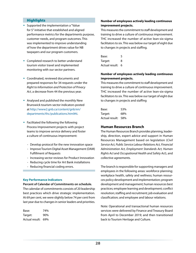#### **Highlights**

- Supported the implementation a "Value for \$" initiative that established and aligned performance metrics for the departments purpose, customer needs, and program outcomes. This was implemented to improve understanding of how the department drives value for NB taxpayers and our program customers.
- Completed research to better understand tourism visitor travel and implemented monitoring with our sector partners.
- Coordinated, reviewed documents and prepared responses for 34 requests under the *Right to Information and Protection of Privacy Act*, a decrease from 44 the previous year.
- Analysed and published the monthly New Brunswick tourism-sector indicators posted at [http://www2.gnb.ca/content/gnb/en/](http://www2.gnb.ca/content/gnb/en/departments/thc/publications.html#ti) [departments/thc/publications.html#ti.](http://www2.gnb.ca/content/gnb/en/departments/thc/publications.html#ti)
- Facilitated the following the following Process Improvement projects with project teams to improve service delivery and foster a culture of continuous improvement:
	- Develop protocol for the new innovation space
	- Improve Tourism Digital Asset Management (DAM) Fulfillment of Requests
	- Increasing sector reviews for Product Innovation
	- Reducing cycle time for Art Bank installations
	- Reducing financial coding errors.

#### **Key Performance Indicators**

**Percent of Calendar of Commitments on schedule.** 

The calendar of commitments consists of 20 leadership best practices which drive strategic implementation. At 69 per cent, we were slightly below 74 per cent from last year due to changes in senior leaders and priorities.

| Base:              | 74% |
|--------------------|-----|
| Target:            | 90% |
| Actual result: 69% |     |

#### **Number of employees actively leading continuous improvement projects.**

This measures the commitment to staff development and training to drive a culture of continuous improvement. THC increased the number of active lean-six-sigma facilitators to six. This was below our target of eight due to changes in projects and staffing.

| Base:            | 5 |  |
|------------------|---|--|
| Target:          | 8 |  |
| Actual result: 6 |   |  |

#### **Number of employees actively leading continuous improvement projects.**

This measures the commitment to staff development and training to drive a culture of continuous improvement. THC increased the number of active lean-six-sigma facilitators to six. This was below our target of eight due to changes in projects and staffing

| Base:              | 53% |
|--------------------|-----|
| Target:            | 68% |
| Actual result: 58% |     |

#### **Human Resources Branch**

The Human Resources Branch provides planning, leadership, direction, expert advice and support in Human Resources Management based on legislation (*Civil Service Act, Public Service Labour Relations Act, Financial Administration Act, Employment Standards Act, Human Rights Act* and *Occupational Health and Safety Act*), and collective agreements.

The branch is responsible for supporting managers and employees in the following areas: workforce planning; workplace health, safety and wellness; human resources policy development and implementation; program development and management; human resources best practices; employee learning and development; conflict resolution; staffing and recruitment; job evaluation and classification; and employee and labour relations.

Note: Operational and transactional human resources services were delivered by Finance and Treasury Board from April to December 2019; and then transitioned back to Tourism Heritage and Culture.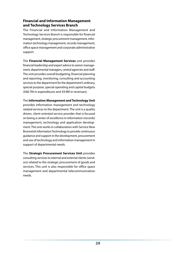#### **Financial and Information Management and Technology Services Branch**

The Financial and Information Management and Technology Services Branch is responsible for financial management, strategic procurement management, information technology management, records management, office space management and corporate administrative support.

The **Financial Management Services** unit provides financial leadership and expert advice to senior management, departmental managers, central agencies and staff. The unit provides overall budgeting, financial planning and reporting, monitoring, consulting and accounting services to the department for the department's ordinary, special purpose, special operating and capital budgets (\$68.7M in expenditures and \$9.9M in revenues).

The **Information Management and Technology Unit**  provides information management and technology related services to the department. The unit is a quality driven, client-oriented service provider that is focused on being a center of excellence in information (records) management, technology and application development. The unit works in collaboration with Service New Brunswick Information Technology to provide continuous guidance and support in the development, procurement and use of technology and information management in support of departmental needs.

The **Strategic Procurement Services Unit** provides consulting services to internal and external clients (vendors) related to the strategic procurement of goods and services. This unit is also responsible for office space management and departmental telecommunication needs.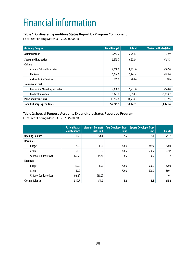# <span id="page-32-0"></span>Financial information

#### **Table 1: Ordinary Expenditure Status Report by Program Component**

Fiscal Year Ending March 31, 2020 (\$ 000's)

| <b>Ordinary Program</b>                | <b>Final Budget</b> | <b>Actual</b> | <b>Variance (Under) Over</b> |
|----------------------------------------|---------------------|---------------|------------------------------|
| <b>Administration</b>                  | 2,787.2             | 2,754.3       | (32.9)                       |
| <b>Sports and Recreation</b>           | 6,675.7             | 6,522.4       | (153.3)                      |
| <b>Culture</b>                         |                     |               |                              |
| Arts and Cultural Industries           | 9,058.0             | 8,851.0       | (207.0)                      |
| Heritage                               | 6,646.0             | 5,961.4       | (684.6)                      |
| <b>Archaeological Services</b>         | 611.0               | 709.4         | 98.4                         |
| <b>Tourism and Parks</b>               |                     |               |                              |
| <b>Destination Marketing and Sales</b> | 9,380.0             | 9,231.0       | (149.0)                      |
| <b>Product Innovation</b>              | 3,373.0             | 2,358.3       | (1,014.7)                    |
| <b>Parks and Attractions</b>           | 15,714.6            | 16,734.3      | 1,019.7                      |
| <b>Total Ordinary Expenditures</b>     | 54,245.5            | 53,122.1      | (1, 123.4)                   |

#### **Table 2: Special Purpose Accounts Expenditure Status Report by Program**

Fiscal Year Ending March 31, 2020 (\$ 000's)

|                         | <b>Parlee Beach</b><br><b>Maintenance</b> | <b>Viscount Bennett</b><br><b>Trust Fund</b> | Arts Develop't Trust<br><b>Fund</b> | <b>Sports Develop't Trust</b><br><b>Fund</b> | Go NB! |
|-------------------------|-------------------------------------------|----------------------------------------------|-------------------------------------|----------------------------------------------|--------|
| <b>Opening Balance</b>  | 318.6                                     | 53.4                                         | 5.7                                 | 5.1                                          | 251.1  |
| <b>Revenues</b>         |                                           |                                              |                                     |                                              |        |
| <b>Budget</b>           | 79.0                                      | 10.0                                         | 700.0                               | 500.0                                        | 370.0  |
| Actual                  | 51.3                                      | 5.6                                          | 700.2                               | 500.2                                        | 374.9  |
| Variance (Under) / Over | (27.7)                                    | (4.4)                                        | 0.2                                 | 0.2                                          | 4.9    |
| <b>Expenses</b>         |                                           |                                              |                                     |                                              |        |
| <b>Budget</b>           | 100.0                                     | 10.0                                         | 700.0                               | 500.0                                        | 370.0  |
| Actual                  | 50.2                                      | ۰                                            | 700.0                               | 500.0                                        | 380.1  |
| Variance (Under) / Over | (49.8)                                    | (10.0)                                       | ۰                                   |                                              | 10.1   |
| <b>Closing Balance</b>  | 319.7                                     | 59.0                                         | 5.9                                 | 5.3                                          | 245.9  |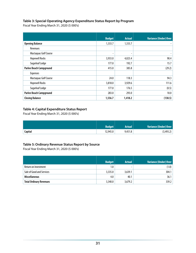#### **Table 3: Special Operating Agency Expenditure Status Report by Program**

Fiscal Year Ending March 31, 2020 (\$ 000's)

|                                | <b>Budget</b>            | <b>Actual</b> | <b>Variance (Under) Over</b> |
|--------------------------------|--------------------------|---------------|------------------------------|
| <b>Opening Balance</b>         | 1,333.7                  | 1,333.7       | $\blacksquare$               |
| <b>Revenues</b>                |                          |               |                              |
| Mactaquac Golf Course          | $\overline{\phantom{a}}$ | ۰             | $\overline{\phantom{a}}$     |
| <b>Hopewell Rocks</b>          | 3,933.0                  | 4,023.4       | 90.4                         |
| Sugarloaf Lodge                | 177.0                    | 192.7         | 15.7                         |
| <b>Parlee Beach Campground</b> | 415.0                    | 385.8         | (29.2)                       |
| <b>Expenses</b>                |                          |               |                              |
| Mactaquac Golf Course          | 24.0                     | 118.3         | 94.3                         |
| <b>Hopewell Rocks</b>          | 3,818.0                  | 3,929.6       | 111.6                        |
| Sugarloaf Lodge                | 177.0                    | 176.5         | (0.5)                        |
| <b>Parlee Beach Campground</b> | 283.0                    | 293.0         | 10.0                         |
| <b>Closing Balance</b>         | 1,556.7                  | 1,418.2       | (138.5)                      |

#### **Table 4: Capital Expenditure Status Report**

Fiscal Year Ending March 31, 2020 (\$ 000's)

|         | <b>Budget</b> | Actual  | Variance (Under) Over |
|---------|---------------|---------|-----------------------|
| Capital | 12,945.0      | 9,451.8 | (3,493.2)             |

#### **Table 5: Ordinary Revenue Status Report by Source**

Fiscal Year Ending March 31, 2020 (\$ 000's)

|                                | <b>Budget</b> | <b>Actual</b> | <b>Variance (Under) Over</b> |
|--------------------------------|---------------|---------------|------------------------------|
| Return on Investment           | 1.0           | -             | (1.0)                        |
| Sale of Good and Services      | 3,335.0       | 3,639.1       | 304.1                        |
| <b>Miscellaneous</b>           | 4.0           | 40.1          | 36.1                         |
| <b>Total Ordinary Revenues</b> | 3,340.0       | 3,679.2       | 339.2                        |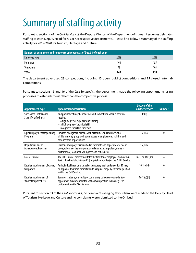# <span id="page-34-0"></span>Summary of staffing activity

Pursuant to section 4 of the *Civil Service Act*, the Deputy Minister of the Department of Human Resources delegates staffing to each Deputy Head for his or her respective department(s). Please find below a summary of the staffing activity for 2019-2020 for Tourism, Heritage and Culture:

| Number of permanent and temporary employees as of Dec. 31 of each year |      |      |  |  |
|------------------------------------------------------------------------|------|------|--|--|
| Employee type                                                          | 2019 | 2018 |  |  |
| Permanent                                                              | 164  | 155  |  |  |
| Temporary                                                              | 78   | 103  |  |  |
| <b>TOTAL</b>                                                           | 242  | 258  |  |  |

The department advertised 28 competitions, including 13 open (public) competitions and 15 closed (internal) competitions.

Pursuant to sections 15 and 16 of the *Civil Service Act*, the department made the following appointments using processes to establish merit other than the competitive process:

| <b>Appointment type</b>                              | <b>Appointment description</b>                                                                                                                                                                           | Section of the<br><b>Civil Service Act</b> | <b>Number</b> |
|------------------------------------------------------|----------------------------------------------------------------------------------------------------------------------------------------------------------------------------------------------------------|--------------------------------------------|---------------|
| Specialized Professional,<br>Scientific or Technical | An appointment may be made without competition when a position<br>requires:<br>$-$ a high degree of expertise and training<br>- a high degree of technical skill<br>- recognized experts in their field. | 15(1)                                      |               |
| <b>Equal Employment Opportunity</b><br>Program       | Provides Aboriginals, persons with disabilities and members of a<br>visible minority group with equal access to employment, training and<br>advancement opportunities.                                   | 16(1)(a)                                   | $\mathbf{0}$  |
| <b>Department Talent</b><br>Management Program       | Permanent employees identified in corporate and departmental talent<br>pools, who meet the four-point criteria for assessing talent, namely<br>performance, readiness, willingness and criticalness.     | 16(1)(b)                                   | 3             |
| Lateral transfer                                     | The GNB transfer process facilitates the transfer of employees from within<br>Part 1, 2 (school districts) and 3 (hospital authorities) of the Public Service.                                           | $16(1)$ ou $16(1)(c)$                      | 4             |
| Regular appointment of casual/<br>temporary          | An individual hired on a casual or temporary basis under section 17 may<br>be appointed without competition to a regular properly classified position<br>within the Civil Service.                       | 16(1)(d)(i)                                | $\mathbf{0}$  |
| Regular appointment of<br>students/apprentices       | Summer students, university or community college co-op students or<br>apprentices may be appointed without competition to an entry level<br>position within the Civil Service.                           | 16(1)(d)(ii)                               | $\mathbf{0}$  |

Pursuant to section 33 of the *Civil Service Act*, no complaints alleging favouritism were made to the Deputy Head of Tourism, Heritage and Culture and no complaints were submitted to the Ombud.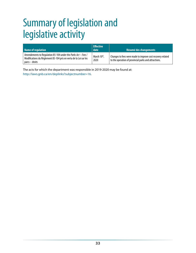# <span id="page-35-0"></span>Summary of legislation and legislative activity

| Name of regulation                                                                                                                                   | <b>Effective</b><br>date | Résumé des changements                                                                                              |
|------------------------------------------------------------------------------------------------------------------------------------------------------|--------------------------|---------------------------------------------------------------------------------------------------------------------|
| Amendements to Regulation 85-104 under the Parks Act - Fees /<br>Modifications du Règlement 85-104 pris en vertu de la Loi sur les<br>parcs – droits | March 10th,<br>2020      | Changes to fees were made to improve cost recovery related<br>to the operation of provincial parks and attractions. |

The acts for which the department was responsible in 2019-2020 may be found at: [http://laws.gnb.ca/en/deplinks?subjectnumber=16.](http://laws.gnb.ca/en/deplinks?subjectnumber=16)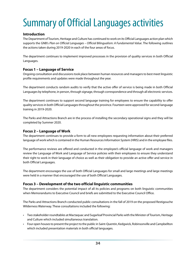# <span id="page-36-0"></span>Summary of Official Languages activities

#### **Introduction**

The Department of Tourism, Heritage and Culture has continued to work on its Official Languages action plan which supports the GNB's *Plan on Official Languages – Official Bilingualism: A Fundamental Value*. The following outlines the actions taken during 2019-2020 in each of the four areas of focus.

The department continues to implement improved processes in the provision of quality services in both Official Languages.

#### **Focus 1 – Language of Service**

Ongoing consultation and discussions took place between human resources and managers to best meet linguistic profile requirements and updates were made throughout the year.

The department conducts random audits to verify that the active offer of service is being made in both Official Languages by telephone, in person, through signage, through correspondence and through all electronic services.

The department continues to support second language training for employees to ensure the capability to offer quality services in both Official Languages throughout the province. Fourteen were approved for second-language training in 2019-2020.

The Parks and Attractions Branch are in the process of installing the secondary operational signs and they will be completed by Summer 2020.

#### **Focus 2 – Language of Work**

The department continues to provide a form to all new employees requesting information about their preferred language of work which is contained in the Human Resources Information System (HRIS) and in the employee files.

The performance reviews are offered and conducted in the employee's official language of work and managers review the Language of Work and Language of Service policies with their employees to ensure they understand their right to work in their language of choice as well as their obligation to provide an active offer and service in both Official Languages.

The department encourages the use of both Official Languages for small and large meetings and large meetings were held in a manner that encouraged the use of both Official Languages.

#### **Focus 3 – Development of the two official linguistic communities**

The department considers the potential impact of all its policies and programs on both linguistic communities when Memorandums to Executive Council and briefs are submitted to the Executive Council Office.

The Parks and Attractions Branch conducted public consultations in the fall of 2019 on the proposed Restigouche Wilderness Waterway. These consultations included the following:

- Two stakeholder roundtables at Mactaquac and Sugarloaf Provincial Parks with the Minister of Tourism, Heritage and Culture which included simultaneous translation.
- Four open houses to present the project to the public in Saint-Quentin, Kedgwick, Robinsonville and Campbellton which included presentation materials in both official languages.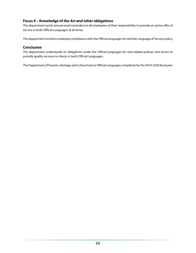#### **Focus 4 – Knowledge of the** *Act* **and other obligations**

The department sends annual email reminders to all employees of their responsibility to provide an active offer of service in both Official Languages at all times.

The department monitors employee compliance with the *Official Languages Act* and the Language of Service policy.

#### **Conclusion**

The department understands its obligations under the *Official Languages Act* and related policies and strives to provide quality services to clients in both Official Languages.

The Department of Tourism, Heritage and Culture had no Official Languages complaints for the 2019-2020 fiscal year.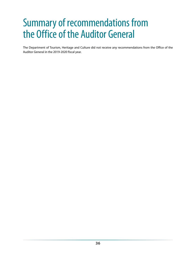# <span id="page-38-0"></span>Summary of recommendations from the Office of the Auditor General

The Department of Tourism, Heritage and Culture did not receive any recommendations from the Office of the Auditor General in the 2019-2020 fiscal year.